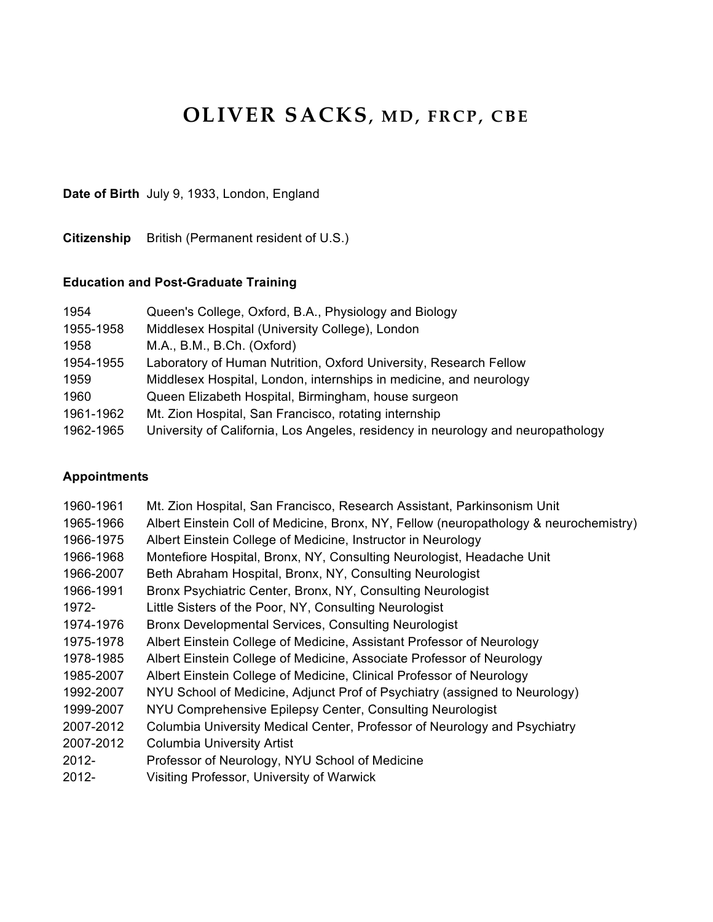# **OLIVER SACKS, MD, FRCP, CBE**

**Date of Birth** July 9, 1933, London, England

**Citizenship** British (Permanent resident of U.S.)

## **Education and Post-Graduate Training**

| 1954      | Queen's College, Oxford, B.A., Physiology and Biology                            |
|-----------|----------------------------------------------------------------------------------|
| 1955-1958 | Middlesex Hospital (University College), London                                  |
| 1958      | M.A., B.M., B.Ch. (Oxford)                                                       |
| 1954-1955 | Laboratory of Human Nutrition, Oxford University, Research Fellow                |
| 1959      | Middlesex Hospital, London, internships in medicine, and neurology               |
| 1960      | Queen Elizabeth Hospital, Birmingham, house surgeon                              |
| 1961-1962 | Mt. Zion Hospital, San Francisco, rotating internship                            |
| 1962-1965 | University of California, Los Angeles, residency in neurology and neuropathology |

# **Appointments**

| 1960-1961 | Mt. Zion Hospital, San Francisco, Research Assistant, Parkinsonism Unit               |
|-----------|---------------------------------------------------------------------------------------|
| 1965-1966 | Albert Einstein Coll of Medicine, Bronx, NY, Fellow (neuropathology & neurochemistry) |
| 1966-1975 | Albert Einstein College of Medicine, Instructor in Neurology                          |
| 1966-1968 | Montefiore Hospital, Bronx, NY, Consulting Neurologist, Headache Unit                 |
| 1966-2007 | Beth Abraham Hospital, Bronx, NY, Consulting Neurologist                              |
| 1966-1991 | Bronx Psychiatric Center, Bronx, NY, Consulting Neurologist                           |
| 1972-     | Little Sisters of the Poor, NY, Consulting Neurologist                                |
| 1974-1976 | Bronx Developmental Services, Consulting Neurologist                                  |
| 1975-1978 | Albert Einstein College of Medicine, Assistant Professor of Neurology                 |
| 1978-1985 | Albert Einstein College of Medicine, Associate Professor of Neurology                 |
| 1985-2007 | Albert Einstein College of Medicine, Clinical Professor of Neurology                  |
| 1992-2007 | NYU School of Medicine, Adjunct Prof of Psychiatry (assigned to Neurology)            |
| 1999-2007 | NYU Comprehensive Epilepsy Center, Consulting Neurologist                             |
| 2007-2012 | Columbia University Medical Center, Professor of Neurology and Psychiatry             |
| 2007-2012 | <b>Columbia University Artist</b>                                                     |
| $2012 -$  | Professor of Neurology, NYU School of Medicine                                        |
| 2012-     | Visiting Professor, University of Warwick                                             |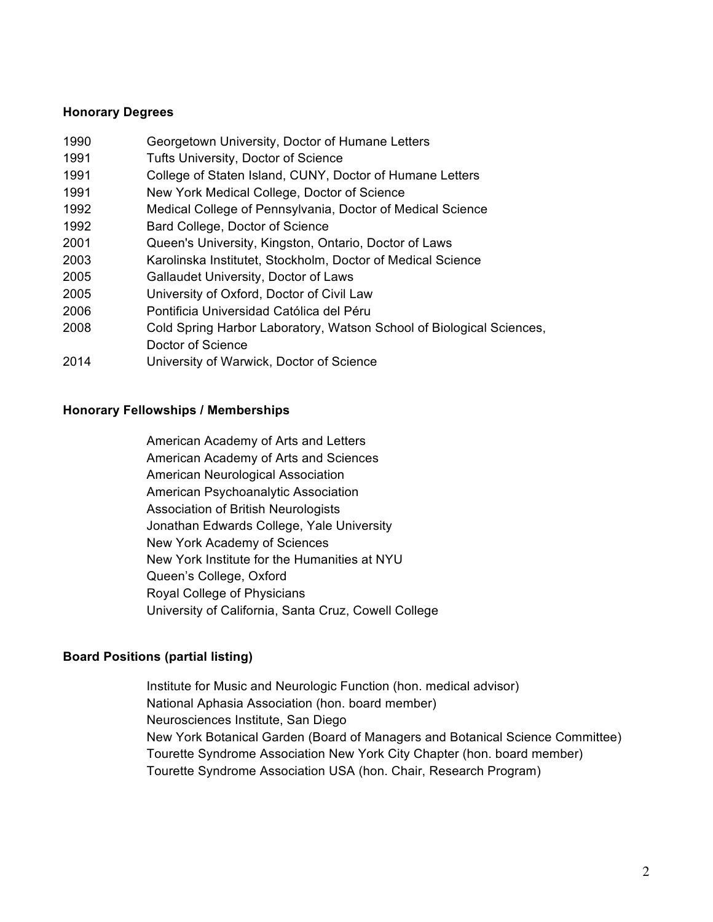#### **Honorary Degrees**

- 1990 Georgetown University, Doctor of Humane Letters
- 1991 Tufts University, Doctor of Science
- 1991 College of Staten Island, CUNY, Doctor of Humane Letters
- 1991 New York Medical College, Doctor of Science
- 1992 Medical College of Pennsylvania, Doctor of Medical Science
- 1992 Bard College, Doctor of Science
- 2001 Queen's University, Kingston, Ontario, Doctor of Laws
- 2003 Karolinska Institutet, Stockholm, Doctor of Medical Science
- 2005 Gallaudet University, Doctor of Laws
- 2005 University of Oxford, Doctor of Civil Law
- 2006 Pontificia Universidad Católica del Péru
- 2008 Cold Spring Harbor Laboratory, Watson School of Biological Sciences,
- Doctor of Science
- 2014 University of Warwick, Doctor of Science

#### **Honorary Fellowships / Memberships**

American Academy of Arts and Letters American Academy of Arts and Sciences American Neurological Association American Psychoanalytic Association Association of British Neurologists Jonathan Edwards College, Yale University New York Academy of Sciences New York Institute for the Humanities at NYU Queen's College, Oxford Royal College of Physicians University of California, Santa Cruz, Cowell College

## **Board Positions (partial listing)**

Institute for Music and Neurologic Function (hon. medical advisor) National Aphasia Association (hon. board member) Neurosciences Institute, San Diego New York Botanical Garden (Board of Managers and Botanical Science Committee) Tourette Syndrome Association New York City Chapter (hon. board member) Tourette Syndrome Association USA (hon. Chair, Research Program)